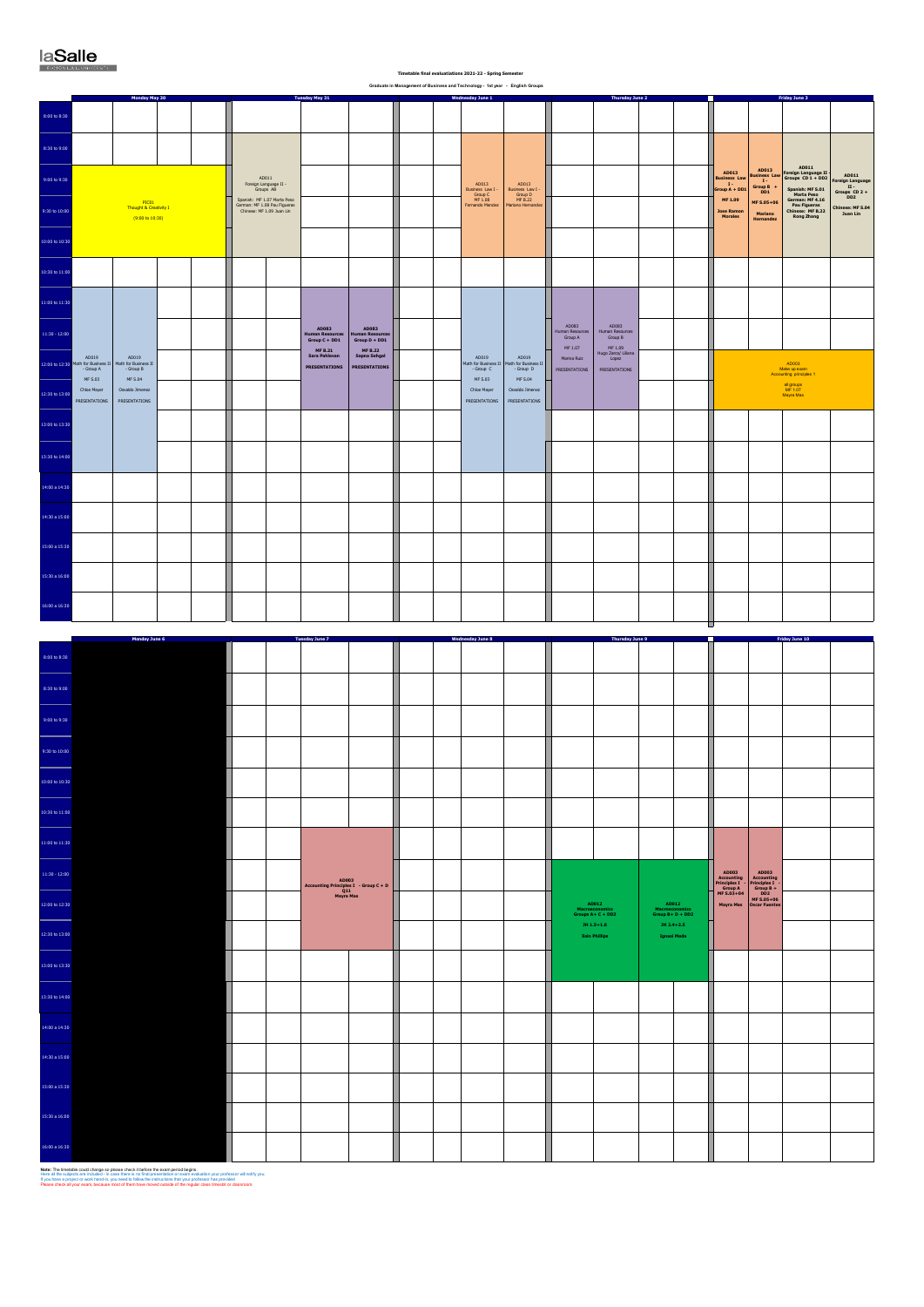|  | Timetable final evaluatiations 2021-22 - Spring Semester                 |  |  |
|--|--------------------------------------------------------------------------|--|--|
|  | aduate in Management of Business and Technology - 1st year - English Gro |  |  |

|                                         |                                                          | Monday May 30                                                 |  |                                                                                          | <b>Tuesday May 31</b>                                                                                                                |                                                 |  | Wednesday June 1                                                 |                                                                      |                                                | Thursday June 2                                                                                |                                                                                                     |   |                                                                                                                                                                          |                                                                                                                                                                        | <b>Friday June 3</b>                                                                          |                                                           |
|-----------------------------------------|----------------------------------------------------------|---------------------------------------------------------------|--|------------------------------------------------------------------------------------------|--------------------------------------------------------------------------------------------------------------------------------------|-------------------------------------------------|--|------------------------------------------------------------------|----------------------------------------------------------------------|------------------------------------------------|------------------------------------------------------------------------------------------------|-----------------------------------------------------------------------------------------------------|---|--------------------------------------------------------------------------------------------------------------------------------------------------------------------------|------------------------------------------------------------------------------------------------------------------------------------------------------------------------|-----------------------------------------------------------------------------------------------|-----------------------------------------------------------|
| 8:00 to 8:30                            |                                                          |                                                               |  |                                                                                          |                                                                                                                                      |                                                 |  |                                                                  |                                                                      |                                                |                                                                                                |                                                                                                     |   |                                                                                                                                                                          |                                                                                                                                                                        |                                                                                               |                                                           |
| 8:30 to 9:00                            |                                                          |                                                               |  |                                                                                          |                                                                                                                                      |                                                 |  |                                                                  |                                                                      |                                                |                                                                                                |                                                                                                     |   |                                                                                                                                                                          |                                                                                                                                                                        |                                                                                               |                                                           |
| 9:00 to 9:30                            |                                                          |                                                               |  | AD011<br>Foreign Language II -<br>Groups AB                                              |                                                                                                                                      |                                                 |  |                                                                  |                                                                      |                                                |                                                                                                |                                                                                                     |   | AD013<br>Business Law<br>I -<br>Group A + DD1                                                                                                                            | AD013                                                                                                                                                                  | AD011<br>ADO13<br>Business Law Foreign Language II<br>I Groups CD 1 + DD2<br>Spanish: MF S.01 | AD011<br>Foreign Language<br>II -<br>Groups CD 2 +<br>DD2 |
| 9:30 to 10:00                           |                                                          | PIC01<br>Thought & Creativity I<br>$(9:00 \text{ to } 10:30)$ |  | Spanish: MF 1.07 Marta Peso<br>German: MF 1.08 Pau Figueras<br>Chinese: MF 1.09 Juan Lin |                                                                                                                                      |                                                 |  | AD013<br>Business Law I<br>Group C<br>MF 1.08<br>Fernando Mendez | AD013<br>Business Law I -<br>Group D<br>MF B.22<br>Mariano Hernandez |                                                |                                                                                                |                                                                                                     |   | $MF 1.09$<br><b>Jose Ramon</b><br>$\label{thm:1} \textbf{Morales}$                                                                                                       | $\begin{array}{cc}\n\text{Group B} & +\\ \text{DD1} & \end{array}$<br>MF S.05+06<br>Mariano<br>Hernandez                                                               | Marta Peso<br>Marta Peso<br>German: MF 4.16<br>Pau Figueras<br>Chinese: MF B.22<br>Rong Zhang | Chinese: MF S.04<br>Juan Lin                              |
| 10:00 to 10:30                          |                                                          |                                                               |  |                                                                                          |                                                                                                                                      |                                                 |  |                                                                  |                                                                      |                                                |                                                                                                |                                                                                                     |   |                                                                                                                                                                          |                                                                                                                                                                        |                                                                                               |                                                           |
| 10:30 to 11:00                          |                                                          |                                                               |  |                                                                                          |                                                                                                                                      |                                                 |  |                                                                  |                                                                      |                                                |                                                                                                |                                                                                                     |   |                                                                                                                                                                          |                                                                                                                                                                        |                                                                                               |                                                           |
| 11:00 to 11:30                          |                                                          |                                                               |  |                                                                                          |                                                                                                                                      |                                                 |  |                                                                  |                                                                      |                                                |                                                                                                |                                                                                                     |   |                                                                                                                                                                          |                                                                                                                                                                        |                                                                                               |                                                           |
| $11:30 - 12:00$                         |                                                          |                                                               |  |                                                                                          | AD083<br>Human Resource:<br>Group C + DD1                                                                                            | AD083<br>Human Resource<br>Group D + DD1        |  |                                                                  |                                                                      | AD083<br>Human Resources<br>Group A            | $\begin{array}{c} \text{AD083} \\ \text{Human Resources} \\ \text{Group B} \end{array}$        |                                                                                                     |   |                                                                                                                                                                          |                                                                                                                                                                        |                                                                                               |                                                           |
|                                         | AD019<br>12:00 to 12:30 Math for Business I<br>- Group A | AD019<br>Math for Business II<br>- Group B                    |  |                                                                                          | MF B.21<br>Sara Pahlevan<br><b>PRESENTATIONS</b>                                                                                     | MF B.22<br>Sapna Sehgal<br><b>PRESENTATIONS</b> |  | AD019<br>Math for Business II<br>- Group C                       | AD019<br>Math for Business II<br>- Group D                           | MF 1.07<br>Marina Ruiz<br><b>PRESENTATIONS</b> | MF 1.09<br>Hugo Zarco/ Liliana<br>Lopez<br>PRESENTATIONS                                       |                                                                                                     |   |                                                                                                                                                                          |                                                                                                                                                                        | AD003<br>Make up exam<br>Accounting principles 1                                              |                                                           |
| 12:30 to 13:00                          | MF S.03<br>Chloe Mayer<br>PRESENTATIONS                  | MF S.04<br>Osvaldo Jimenez<br>PRESENTATIONS                   |  |                                                                                          |                                                                                                                                      |                                                 |  | MF S.03<br>Chloe Mayer<br>PRESENTATIONS                          | MF S.04<br>Osvaldo Jimenez<br>PRESENTATIONS                          |                                                |                                                                                                |                                                                                                     |   |                                                                                                                                                                          |                                                                                                                                                                        | al groups<br>MF 1.07<br>Mayra Mas                                                             |                                                           |
| 13:00 to 13:30                          |                                                          |                                                               |  |                                                                                          |                                                                                                                                      |                                                 |  |                                                                  |                                                                      |                                                |                                                                                                |                                                                                                     |   |                                                                                                                                                                          |                                                                                                                                                                        |                                                                                               |                                                           |
| 13:30 to 14:00                          |                                                          |                                                               |  |                                                                                          |                                                                                                                                      |                                                 |  |                                                                  |                                                                      |                                                |                                                                                                |                                                                                                     |   |                                                                                                                                                                          |                                                                                                                                                                        |                                                                                               |                                                           |
| 14:00 a 14:30                           |                                                          |                                                               |  |                                                                                          |                                                                                                                                      |                                                 |  |                                                                  |                                                                      |                                                |                                                                                                |                                                                                                     |   |                                                                                                                                                                          |                                                                                                                                                                        |                                                                                               |                                                           |
| 14:30 a 15:00                           |                                                          |                                                               |  |                                                                                          |                                                                                                                                      |                                                 |  |                                                                  |                                                                      |                                                |                                                                                                |                                                                                                     |   |                                                                                                                                                                          |                                                                                                                                                                        |                                                                                               |                                                           |
| 15:00 a 15:30                           |                                                          |                                                               |  |                                                                                          |                                                                                                                                      |                                                 |  |                                                                  |                                                                      |                                                |                                                                                                |                                                                                                     |   |                                                                                                                                                                          |                                                                                                                                                                        |                                                                                               |                                                           |
| 15:30 a 16:00                           |                                                          |                                                               |  |                                                                                          |                                                                                                                                      |                                                 |  |                                                                  |                                                                      |                                                |                                                                                                |                                                                                                     |   |                                                                                                                                                                          |                                                                                                                                                                        |                                                                                               |                                                           |
| 16:00 a 16:30                           |                                                          |                                                               |  |                                                                                          |                                                                                                                                      |                                                 |  |                                                                  |                                                                      |                                                |                                                                                                |                                                                                                     |   |                                                                                                                                                                          |                                                                                                                                                                        |                                                                                               |                                                           |
|                                         |                                                          |                                                               |  |                                                                                          |                                                                                                                                      |                                                 |  |                                                                  |                                                                      |                                                |                                                                                                |                                                                                                     | ◼ |                                                                                                                                                                          |                                                                                                                                                                        |                                                                                               |                                                           |
| $8:00$ to $8:30$                        |                                                          | Monday June 6                                                 |  |                                                                                          | <b>Tuesday June 7</b>                                                                                                                |                                                 |  | Wednesday June 8                                                 |                                                                      |                                                | Thursday June 9                                                                                |                                                                                                     |   |                                                                                                                                                                          |                                                                                                                                                                        | Friday June 10                                                                                |                                                           |
| $8:30$ to $9:00\,$                      |                                                          |                                                               |  |                                                                                          |                                                                                                                                      |                                                 |  |                                                                  |                                                                      |                                                |                                                                                                |                                                                                                     |   |                                                                                                                                                                          |                                                                                                                                                                        |                                                                                               |                                                           |
| 9:00 to 9:30                            |                                                          |                                                               |  |                                                                                          |                                                                                                                                      |                                                 |  |                                                                  |                                                                      |                                                |                                                                                                |                                                                                                     |   |                                                                                                                                                                          |                                                                                                                                                                        |                                                                                               |                                                           |
| 9:30 to 10:00                           |                                                          |                                                               |  |                                                                                          |                                                                                                                                      |                                                 |  |                                                                  |                                                                      |                                                |                                                                                                |                                                                                                     |   |                                                                                                                                                                          |                                                                                                                                                                        |                                                                                               |                                                           |
| 10:00 to 10:30                          |                                                          |                                                               |  |                                                                                          |                                                                                                                                      |                                                 |  |                                                                  |                                                                      |                                                |                                                                                                |                                                                                                     |   |                                                                                                                                                                          |                                                                                                                                                                        |                                                                                               |                                                           |
| <u> Albanya di Ba</u><br>10:30 to 11:00 |                                                          |                                                               |  |                                                                                          |                                                                                                                                      |                                                 |  |                                                                  |                                                                      |                                                |                                                                                                |                                                                                                     |   |                                                                                                                                                                          |                                                                                                                                                                        |                                                                                               |                                                           |
| L,<br>11:00 to 11:30                    |                                                          |                                                               |  |                                                                                          |                                                                                                                                      |                                                 |  |                                                                  |                                                                      |                                                |                                                                                                |                                                                                                     |   |                                                                                                                                                                          |                                                                                                                                                                        |                                                                                               |                                                           |
| $11:30 - 12:00$                         |                                                          |                                                               |  |                                                                                          |                                                                                                                                      |                                                 |  |                                                                  |                                                                      |                                                |                                                                                                |                                                                                                     |   |                                                                                                                                                                          |                                                                                                                                                                        |                                                                                               |                                                           |
| <br>12:00 to 12:30                      |                                                          |                                                               |  |                                                                                          | $\begin{array}{r} \text{A\,10003} \\ \text{According Principles 1 - Group C + D} \\ \text{Q11} \\ \text{Mayra Mas} \end{array} \, .$ |                                                 |  |                                                                  |                                                                      |                                                | $\begin{array}{c} \text{AD012}\\ \text{Macroeconomics}\\ \text{Groups A+ C + DD2} \end{array}$ | $\begin{array}{c} \text{A}\text{D}012 \\ \text{Macroeconomics} \\ \text{Group B+D+DD2} \end{array}$ |   | $\begin{array}{r} \text{A\textbf{D003}} \\ \text{Accounting} \\ \text{Principles I} \\ \text{Group A} \\ \text{MF S.03+04} \end{array}.$<br>Н<br>Mayra Mas Oscar Fuentes | $\begin{array}{r} \text{AD003} \\ \text{Accounting} \\ \text{Principles I} \\ \text{Group B +} \\ \text{M5.05+06} \\ \text{M45.05+06} \\ \text{N46.05+06} \end{array}$ |                                                                                               |                                                           |
| <br>12:30 to 13:00                      |                                                          |                                                               |  |                                                                                          |                                                                                                                                      |                                                 |  |                                                                  |                                                                      |                                                | $JH 1.5 + 1.6$<br><b>Eoin Phillips</b>                                                         | $JH 2.4 + 2.5$<br>Ignasi Meda                                                                       | П |                                                                                                                                                                          |                                                                                                                                                                        |                                                                                               |                                                           |
| 13:00 to 13:30                          |                                                          |                                                               |  |                                                                                          |                                                                                                                                      |                                                 |  |                                                                  |                                                                      |                                                |                                                                                                |                                                                                                     |   |                                                                                                                                                                          |                                                                                                                                                                        |                                                                                               |                                                           |
| 13:30 to 14:00                          |                                                          |                                                               |  |                                                                                          |                                                                                                                                      |                                                 |  |                                                                  |                                                                      |                                                |                                                                                                |                                                                                                     |   |                                                                                                                                                                          |                                                                                                                                                                        |                                                                                               |                                                           |
| 14:00 a 14:30                           |                                                          |                                                               |  |                                                                                          |                                                                                                                                      |                                                 |  |                                                                  |                                                                      |                                                |                                                                                                |                                                                                                     |   |                                                                                                                                                                          |                                                                                                                                                                        |                                                                                               |                                                           |
| 14:30 a 15:00                           |                                                          |                                                               |  |                                                                                          |                                                                                                                                      |                                                 |  |                                                                  |                                                                      |                                                |                                                                                                |                                                                                                     |   |                                                                                                                                                                          |                                                                                                                                                                        |                                                                                               |                                                           |
| 15:00 a 15:30                           |                                                          |                                                               |  |                                                                                          |                                                                                                                                      |                                                 |  |                                                                  |                                                                      |                                                |                                                                                                |                                                                                                     |   |                                                                                                                                                                          |                                                                                                                                                                        |                                                                                               |                                                           |
| 15:30 a 16:00                           |                                                          |                                                               |  |                                                                                          |                                                                                                                                      |                                                 |  |                                                                  |                                                                      |                                                |                                                                                                |                                                                                                     |   |                                                                                                                                                                          |                                                                                                                                                                        |                                                                                               |                                                           |
| 16:00 a 16:30                           |                                                          |                                                               |  |                                                                                          |                                                                                                                                      |                                                 |  |                                                                  |                                                                      |                                                |                                                                                                |                                                                                                     |   |                                                                                                                                                                          |                                                                                                                                                                        |                                                                                               |                                                           |

**Note: The firmatible could change so please check it before the exam period begins.**<br>Here all the subjects are included - in case there is no final presentation or exam evaluation your professor will notify you.<br>If you ha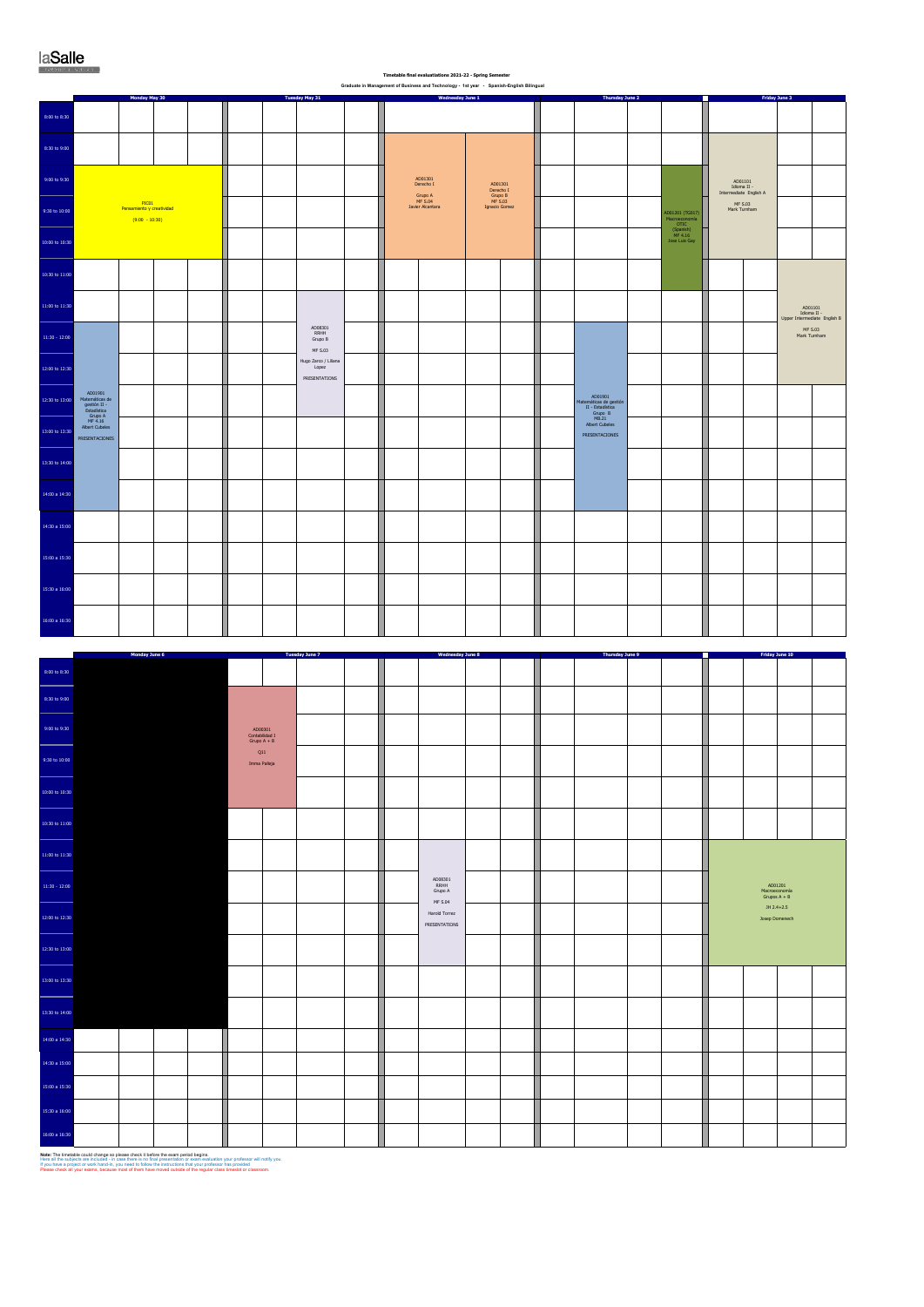| Timetable final evaluatiations 2021-22 - Spring Semester                            |  |
|-------------------------------------------------------------------------------------|--|
| raduate in Management of Business and Technology . 4st was: . Coanish English Bilin |  |

|                                                 |                                                                                                                                                                                 | Monday May 30                      |  |                                                                                              | Tuesday May 31                                                                 |  | Graduate in Management of Business and Technology - 1st year - Spanish-English Bilingual | Wednesday June 1                                            |  | Thursday June 2                                                                             |                                                                                |                                                                                                                              | Friday June 3                                              |                                                                                                         |  |
|-------------------------------------------------|---------------------------------------------------------------------------------------------------------------------------------------------------------------------------------|------------------------------------|--|----------------------------------------------------------------------------------------------|--------------------------------------------------------------------------------|--|------------------------------------------------------------------------------------------|-------------------------------------------------------------|--|---------------------------------------------------------------------------------------------|--------------------------------------------------------------------------------|------------------------------------------------------------------------------------------------------------------------------|------------------------------------------------------------|---------------------------------------------------------------------------------------------------------|--|
| 8:00 to 8:30                                    |                                                                                                                                                                                 |                                    |  |                                                                                              |                                                                                |  |                                                                                          |                                                             |  |                                                                                             |                                                                                |                                                                                                                              |                                                            |                                                                                                         |  |
| $8:30$ to $9:00$                                |                                                                                                                                                                                 |                                    |  |                                                                                              |                                                                                |  |                                                                                          |                                                             |  |                                                                                             |                                                                                |                                                                                                                              |                                                            |                                                                                                         |  |
| 9:00 to 9:30                                    |                                                                                                                                                                                 |                                    |  |                                                                                              |                                                                                |  | $\begin{array}{c} \text{AD01301} \\ \text{Decrecho I} \end{array}$                       |                                                             |  |                                                                                             |                                                                                |                                                                                                                              |                                                            |                                                                                                         |  |
| 9:30 to 10:00                                   |                                                                                                                                                                                 | PICO1<br>Pensamiento y creatividad |  |                                                                                              |                                                                                |  | Grupo A<br>MF S.04<br>Javier Alcantara                                                   | AD01301<br>Derecho I<br>Grupo B<br>MF S.03<br>Ignacio Gomez |  |                                                                                             |                                                                                | $\begin{array}{c} \text{AD01101}\\ \text{Idioma II} \\ \text{Intermediate English A} \end{array}$<br>MF S.03<br>Mark Turnham |                                                            |                                                                                                         |  |
|                                                 |                                                                                                                                                                                 | $(9:00 - 10:30)$                   |  |                                                                                              |                                                                                |  |                                                                                          |                                                             |  |                                                                                             | AD01201 (TG017)<br>Macroeconomía<br>OTIC (Spanish)<br>MF 4.16<br>Jose Luis Gay |                                                                                                                              |                                                            |                                                                                                         |  |
| 10:00 to 10:30                                  |                                                                                                                                                                                 |                                    |  |                                                                                              |                                                                                |  |                                                                                          |                                                             |  |                                                                                             |                                                                                |                                                                                                                              |                                                            |                                                                                                         |  |
| 10:30 to 11:00                                  |                                                                                                                                                                                 |                                    |  |                                                                                              |                                                                                |  |                                                                                          |                                                             |  |                                                                                             |                                                                                |                                                                                                                              |                                                            |                                                                                                         |  |
| 11:00 to 11:30                                  |                                                                                                                                                                                 |                                    |  |                                                                                              |                                                                                |  |                                                                                          |                                                             |  |                                                                                             |                                                                                |                                                                                                                              |                                                            | $\begin{array}{c} \text{AD01101}\\ \text{Idioma II} \\ \text{Upper Intermediate English B} \end{array}$ |  |
| $11:30 - 12:00$                                 |                                                                                                                                                                                 |                                    |  |                                                                                              | $\begin{array}{c} \tt{AD08301} \\ \tt{RRHH} \end{array}$<br>Grupo B<br>MF S.03 |  |                                                                                          |                                                             |  |                                                                                             |                                                                                |                                                                                                                              |                                                            | MF S.03<br>Mark Turnham                                                                                 |  |
| 12:00 to 12:30                                  |                                                                                                                                                                                 |                                    |  |                                                                                              | Hugo Zarco / Liliana<br>Lopez<br>PRESENTATIONS                                 |  |                                                                                          |                                                             |  |                                                                                             |                                                                                |                                                                                                                              |                                                            |                                                                                                         |  |
| 12:30 to 13:00                                  | $\begin{array}{r} \text{AD01901} \\ \text{Matheméticas de } \\ \text{gestión II} \\ \text{Estadística} \\ \text{Grupo A} \\ \text{MF 4.16} \\ \text{Abert Cubeles} \end{array}$ |                                    |  |                                                                                              |                                                                                |  |                                                                                          |                                                             |  | AD01901<br>Matemáticas de gestión<br>II - Estadística<br>Grupo B<br>MB.21<br>Albert Cubeles |                                                                                |                                                                                                                              |                                                            |                                                                                                         |  |
| 13:00 to 13:30                                  | PRESENTACIONES                                                                                                                                                                  |                                    |  |                                                                                              |                                                                                |  |                                                                                          |                                                             |  | PRESENTACIONES                                                                              |                                                                                |                                                                                                                              |                                                            |                                                                                                         |  |
| 13:30 to 14:00                                  |                                                                                                                                                                                 |                                    |  |                                                                                              |                                                                                |  |                                                                                          |                                                             |  |                                                                                             |                                                                                |                                                                                                                              |                                                            |                                                                                                         |  |
| 14:00 a 14:30                                   |                                                                                                                                                                                 |                                    |  |                                                                                              |                                                                                |  |                                                                                          |                                                             |  |                                                                                             |                                                                                |                                                                                                                              |                                                            |                                                                                                         |  |
| 14:30 a 15:00                                   |                                                                                                                                                                                 |                                    |  |                                                                                              |                                                                                |  |                                                                                          |                                                             |  |                                                                                             |                                                                                |                                                                                                                              |                                                            |                                                                                                         |  |
| 15:00 a 15:30                                   |                                                                                                                                                                                 |                                    |  |                                                                                              |                                                                                |  |                                                                                          |                                                             |  |                                                                                             |                                                                                |                                                                                                                              |                                                            |                                                                                                         |  |
| 15:30 a 16:00                                   |                                                                                                                                                                                 |                                    |  |                                                                                              |                                                                                |  |                                                                                          |                                                             |  |                                                                                             |                                                                                |                                                                                                                              |                                                            |                                                                                                         |  |
| $16:00$ a $16:30$                               |                                                                                                                                                                                 |                                    |  |                                                                                              |                                                                                |  |                                                                                          |                                                             |  |                                                                                             |                                                                                |                                                                                                                              |                                                            |                                                                                                         |  |
|                                                 |                                                                                                                                                                                 |                                    |  |                                                                                              |                                                                                |  |                                                                                          |                                                             |  |                                                                                             |                                                                                |                                                                                                                              |                                                            |                                                                                                         |  |
| 8:00 to 8:30                                    |                                                                                                                                                                                 | Monday June 6                      |  |                                                                                              | <b>Tuesday June 7</b>                                                          |  | <b>Wednesday June 8</b>                                                                  |                                                             |  | <b>Thursday June 9</b>                                                                      | П                                                                              |                                                                                                                              | Friday June 10                                             |                                                                                                         |  |
| 8:30 to 9:00                                    |                                                                                                                                                                                 |                                    |  |                                                                                              |                                                                                |  |                                                                                          |                                                             |  |                                                                                             |                                                                                |                                                                                                                              |                                                            |                                                                                                         |  |
| 9:00 to 9:30                                    |                                                                                                                                                                                 |                                    |  | $\begin{array}{c} \text{AD00301} \\ \text{Contabilidad I} \\ \text{Grupo A + B} \end{array}$ |                                                                                |  |                                                                                          |                                                             |  |                                                                                             |                                                                                |                                                                                                                              |                                                            |                                                                                                         |  |
| 9:30 to 10:00                                   |                                                                                                                                                                                 |                                    |  | Q11<br>Imma Palleja                                                                          |                                                                                |  |                                                                                          |                                                             |  |                                                                                             |                                                                                |                                                                                                                              |                                                            |                                                                                                         |  |
| 10:00 to 10:30                                  |                                                                                                                                                                                 |                                    |  |                                                                                              |                                                                                |  |                                                                                          |                                                             |  |                                                                                             |                                                                                |                                                                                                                              |                                                            |                                                                                                         |  |
| L<br>10:30 to 11:00                             |                                                                                                                                                                                 |                                    |  |                                                                                              |                                                                                |  |                                                                                          |                                                             |  |                                                                                             |                                                                                |                                                                                                                              |                                                            |                                                                                                         |  |
| .<br><br>11:00 to 11:30                         |                                                                                                                                                                                 |                                    |  |                                                                                              |                                                                                |  |                                                                                          |                                                             |  |                                                                                             |                                                                                |                                                                                                                              |                                                            |                                                                                                         |  |
| L,                                              |                                                                                                                                                                                 |                                    |  |                                                                                              |                                                                                |  |                                                                                          |                                                             |  |                                                                                             |                                                                                |                                                                                                                              |                                                            |                                                                                                         |  |
| $11:30 - 12:00$                                 |                                                                                                                                                                                 |                                    |  |                                                                                              |                                                                                |  | AD08301<br>RRHH<br>Grupo A<br>$MF S.04$<br>Harold Torrez                                 |                                                             |  |                                                                                             |                                                                                |                                                                                                                              | AD01201<br>Macroeconomía<br>Grupos A + B<br>$JH 2.4 + 2.5$ |                                                                                                         |  |
| 12:00 to 12:30                                  |                                                                                                                                                                                 |                                    |  |                                                                                              |                                                                                |  | PRESENTATIONS                                                                            |                                                             |  |                                                                                             |                                                                                |                                                                                                                              | Josep Domenech                                             |                                                                                                         |  |
| 12:30 to 13:00<br>                              |                                                                                                                                                                                 |                                    |  |                                                                                              |                                                                                |  |                                                                                          |                                                             |  |                                                                                             |                                                                                |                                                                                                                              |                                                            |                                                                                                         |  |
| 13:00 to 13:30<br>                              |                                                                                                                                                                                 |                                    |  |                                                                                              |                                                                                |  |                                                                                          |                                                             |  |                                                                                             |                                                                                |                                                                                                                              |                                                            |                                                                                                         |  |
| 13:30 to 14:00                                  |                                                                                                                                                                                 |                                    |  |                                                                                              |                                                                                |  |                                                                                          |                                                             |  |                                                                                             |                                                                                |                                                                                                                              |                                                            |                                                                                                         |  |
| 14:00 a 14:30                                   |                                                                                                                                                                                 |                                    |  |                                                                                              |                                                                                |  |                                                                                          |                                                             |  |                                                                                             |                                                                                |                                                                                                                              |                                                            |                                                                                                         |  |
| 14:30 a 15:00<br>15:00 a 15:30                  |                                                                                                                                                                                 |                                    |  |                                                                                              |                                                                                |  |                                                                                          |                                                             |  |                                                                                             |                                                                                |                                                                                                                              |                                                            |                                                                                                         |  |
| 15:30 a 16:00                                   |                                                                                                                                                                                 |                                    |  |                                                                                              |                                                                                |  |                                                                                          |                                                             |  |                                                                                             |                                                                                |                                                                                                                              |                                                            |                                                                                                         |  |
| $16:00$ a $16:30$<br>$\mathcal{L}(\mathcal{L})$ |                                                                                                                                                                                 |                                    |  |                                                                                              |                                                                                |  |                                                                                          |                                                             |  |                                                                                             |                                                                                |                                                                                                                              |                                                            |                                                                                                         |  |

**Note:** The timetable could change so please check it before the exam period begins.<br>Here all the subjects are included - in case there is no final presentation or exam evaluation your professor will notify you.<br>If you hav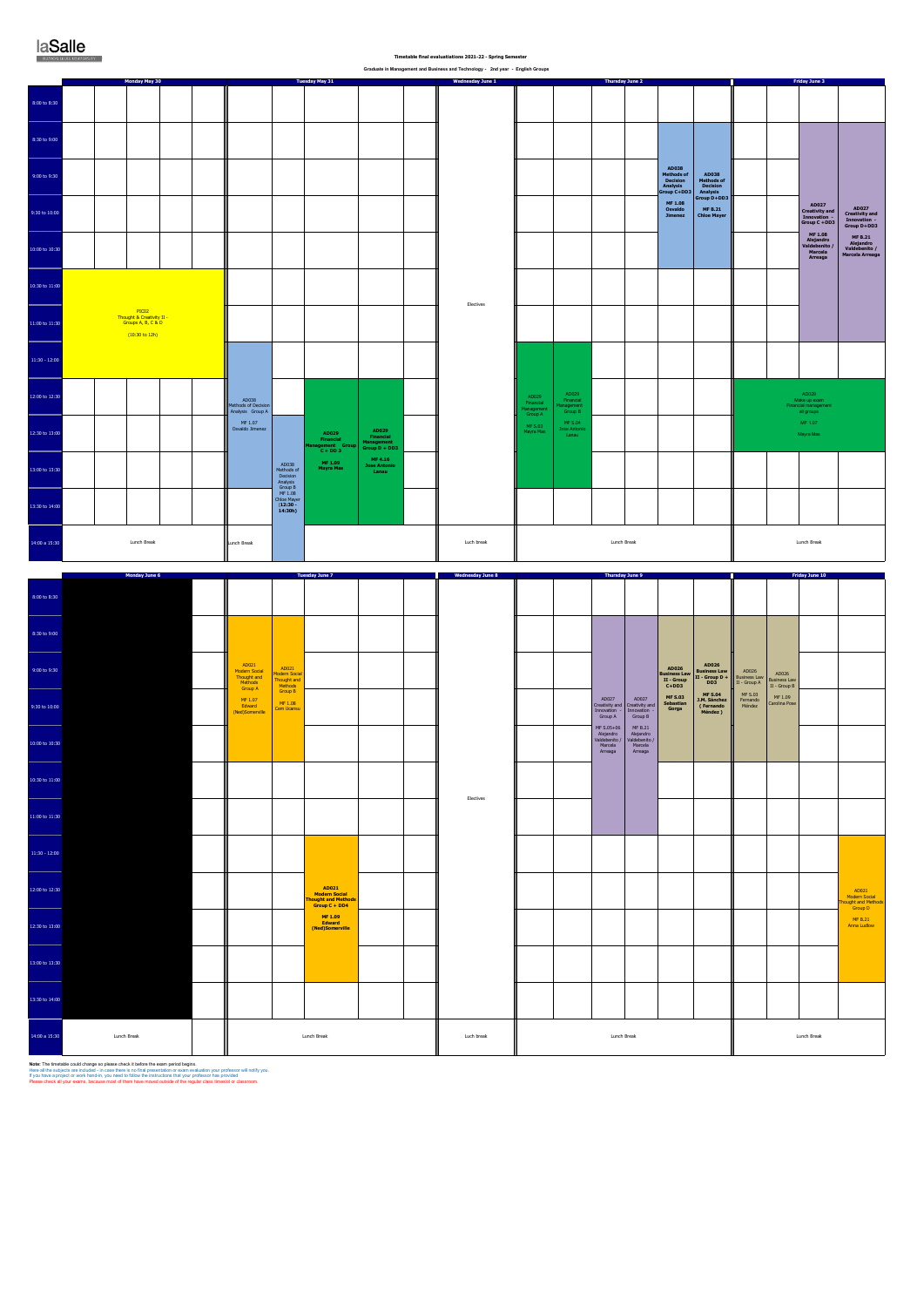8:00 to 8:30

| 13:30 to 14:00 |             |             |            |             |             |
|----------------|-------------|-------------|------------|-------------|-------------|
| 14:00 a 15:30  | Lunch Break | Lunch Break | Luch break | Lunch Break | Lunch Break |

**Note:** The timetable could change so please check it before the exam period begins.<br>Here all the subjects are included - in case there is no final presentation or exam evaluation your professor will notify you.<br>If you hav

 **Timetable final evaluatiations 2021-22 - Spring Semester Graduate in Management and Business and Technology - 2nd year - English Groups**

**Thursday June 2**

| <b>laSalle</b>       |  |  |
|----------------------|--|--|
| RAMON HUH UNIVERSITY |  |  |

**Monday May 30**

**Tuesday May 31 Wednesday June 1 Friday June 3**

8:30 to 9:0 **AD038 Methods of Decision Analysis Group C+DD3** 9:00 to 9:30 **AD038 Methods of Decision Analysis Group D+DD3 MF 1.08 Osvaldo Jimenez AD027 Creativity and Innovation - Group C +DD3 MF 1.08 Alejandro Valdebenito / Marcela Arreaga AD027 Creativity and Innovation - Group D+DD3 MF B.21 Alejandro Valdebenito / Marcela Arreaga MF B.21 Chloe Mayer** 9:30 to 10:0 0:00 to 10: 10:30 to 11:0 Electives PIC02 Thought & Creativity II - Groups A, B, C & D 11:00 to 11:30 (10:30 to 12h)  $11:30 - 12:00$ 12:00 to 12:3 AD029 Financial Management Group B MF S.04 Jose Antonio Lanau AD029 Make up exam Financial management all groups AD029 Financial Management Group A MF S.03 Mayra Mas AD038 Methods of Decision Analysis Group A MF 1.07 Osvaldo Jimenez MF 1.07 12:30 to 13:0 **AD029 Financial Management Group D + DD3 MF 4.16 Jose Antonio Lanau AD029 Financial Management Group C + DD 3 MF 1.09 Mayra Mas** Mayra MasAD038 Methods of Decision Analysis Group B MF 1.08 Chloe Mayer (**12:30 - 14:30h)** 13:00 to 13:30 13:30 to 14:00 Luch break **Lunch Break** Lunch Break Lunch Break 14:00 a 15:30 Lunch Break Lunch Break **Friday June 10 Monday June 6 Tuesday June 7 Wednesday June 8 Thursday June 9** 8:00 to 8:30 8:30 to 9:00 AD021 Modern Social Thought and Methods Group A MF 1.07 Edward (Ned)Somerville **AD026 Business Law II - Group D + DD3** 9:00 to 9:30 AD021 Modern Social Thought and Methods Group B **AD026 Business Law II - Group C+DD3**  AD026 Business Law II - Group A AD026 Business Law II - Group B **MF S.04 J.M. Sánchez ( Fernando Méndez )** MF S.03 Fernando Méndez MF 1.08 Cem Ucansu **MF S.03 Sebastian Gorga** MF 1.09 Carolina Pose AD027 Creativity and Innovation - Group A MF S.05+06 Alejandro Valdebenito / Marcela Arreaga AD027 Creativity and Innovation - Group B MF B.21 Alejandro Valdebenito / Marcela Arreaga 9:30 to 10:00 10:00 to 10:30 0:30 to 11:00 Electives 11:00 to 11:30 11:30 - 12:00 12:00 to 12:30 **AD021 Modern Social Thought and Methods Group C + DD4** AD021 Modern Social Thought and Methods Group D MF B.21 Anna Ludlow  **MF 1.09 Edward (Ned)Somerville** 12:30 to 13:00 13:00 to 13:30 a ma  $\mathbf{I}$  $\sim$  1.0 a ka  $\sim$  1.0  $\mathbf{1}$ - 12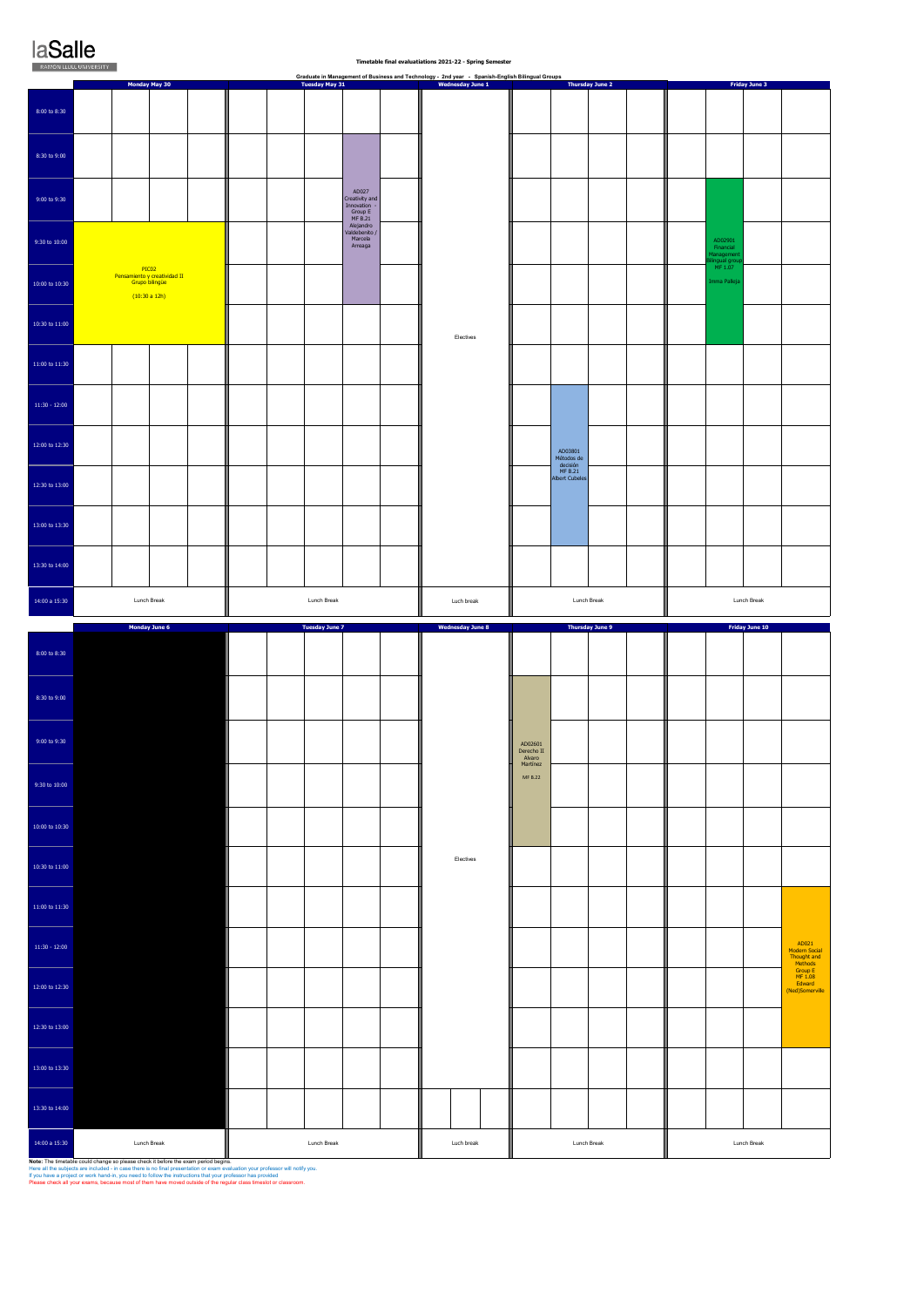# **laSalle**

 $8:00$ 

 $8:30$ 

 $9:00$ 

 $9:30$ 

| 10:00 to 10:30  | PICO2<br>Pensamiento y creatividad II<br>Grupo bilingüe<br>(10:30a12h) |  |             |  |            |                                   |  | MF 1.07<br>Imma Palleja |             |  |
|-----------------|------------------------------------------------------------------------|--|-------------|--|------------|-----------------------------------|--|-------------------------|-------------|--|
| 10:30 to 11:00  |                                                                        |  |             |  | Electives  |                                   |  |                         |             |  |
| 11:00 to 11:30  |                                                                        |  |             |  |            |                                   |  |                         |             |  |
| $11:30 - 12:00$ |                                                                        |  |             |  |            |                                   |  |                         |             |  |
| 12:00 to 12:30  |                                                                        |  |             |  |            | AD03801<br>Métodos de<br>decisión |  |                         |             |  |
| 12:30 to 13:00  |                                                                        |  |             |  |            | MF B.21<br>Albert Cubeles         |  |                         |             |  |
| 13:00 to 13:30  |                                                                        |  |             |  |            |                                   |  |                         |             |  |
| 13:30 to 14:00  |                                                                        |  |             |  |            |                                   |  |                         |             |  |
| 14:00 a 15:30   | Lunch Break                                                            |  | Lunch Break |  | Luch break | Lunch Break                       |  |                         | Lunch Break |  |

|                  | Monday June 6 | <b>Tuesday June 7</b> | <b>Wednesday June 8</b> | Thursday June 9                             |             | Friday June 10 |  |             |                                                  |
|------------------|---------------|-----------------------|-------------------------|---------------------------------------------|-------------|----------------|--|-------------|--------------------------------------------------|
| 8:00 to 8:30     |               |                       |                         |                                             |             |                |  |             |                                                  |
| 8:30 to 9:00     |               |                       |                         |                                             |             |                |  |             |                                                  |
| 9:00 to 9:30     |               |                       |                         | AD02601<br>Derecho II<br>Alvaro<br>Martínez |             |                |  |             |                                                  |
| 9:30 to 10:00    |               |                       |                         | MF B.22                                     |             |                |  |             |                                                  |
| 10:00 to 10:30   |               |                       |                         |                                             |             |                |  |             |                                                  |
| 10:30 to $11:00$ |               |                       | Electives               |                                             |             |                |  |             |                                                  |
| 11:00 to 11:30   |               |                       |                         |                                             |             |                |  |             |                                                  |
| $11:30 - 12:00$  |               |                       |                         |                                             |             |                |  |             | AD021<br>Modern Social<br>Thought and<br>Methods |
| 12:00 to 12:30   |               |                       |                         |                                             |             |                |  |             | Group E<br>MF 1.08<br>Edward<br>(Ned)Somerville  |
| 12:30 to 13:00   |               |                       |                         |                                             |             |                |  |             |                                                  |
| 13:00 to 13:30   |               |                       |                         |                                             |             |                |  |             |                                                  |
| 13:30 to 14:00   |               |                       |                         |                                             |             |                |  |             |                                                  |
| 14:00 a 15:30    | Lunch Break   | Lunch Break           | Luch break              |                                             | Lunch Break |                |  | Lunch Break |                                                  |

**Note: T**he timetable could change so please check it before the exam period begins.<br>Here all the subjects are included - in case there is no final presentation or exam evaluation your professor will notify you.<br>If you hav

| ----    | <b>MON LLULL UNIVERSITY</b>                              |                       |                                                                      | Timetable final evaluatiations 2021-22 - Spring Semester                                                                   |                        |                                                       |
|---------|----------------------------------------------------------|-----------------------|----------------------------------------------------------------------|----------------------------------------------------------------------------------------------------------------------------|------------------------|-------------------------------------------------------|
|         | Monday May 30                                            | <b>Tuesday May 31</b> |                                                                      | Graduate in Management of Business and Technology - 2nd year - Spanish-English Bilingual Groups<br><b>Wednesday June 1</b> | <b>Thursday June 2</b> | <b>Friday June 3</b>                                  |
| to 8:30 |                                                          |                       |                                                                      |                                                                                                                            |                        |                                                       |
| to 9:00 |                                                          |                       |                                                                      |                                                                                                                            |                        |                                                       |
| to 9:30 |                                                          |                       | AD027<br>Creativity and<br>Innovation -<br>Group E<br><b>MF B.21</b> |                                                                                                                            |                        |                                                       |
| 0.10:00 |                                                          |                       | Alejandro<br>Valdebenito /<br>Marcela<br>Arreaga                     |                                                                                                                            |                        | AD02901<br>Financial<br>Management<br>Bilingual group |
|         | PIC <sub>02</sub><br><b>Dononmights u crootividad II</b> |                       |                                                                      |                                                                                                                            |                        | MF 1.07                                               |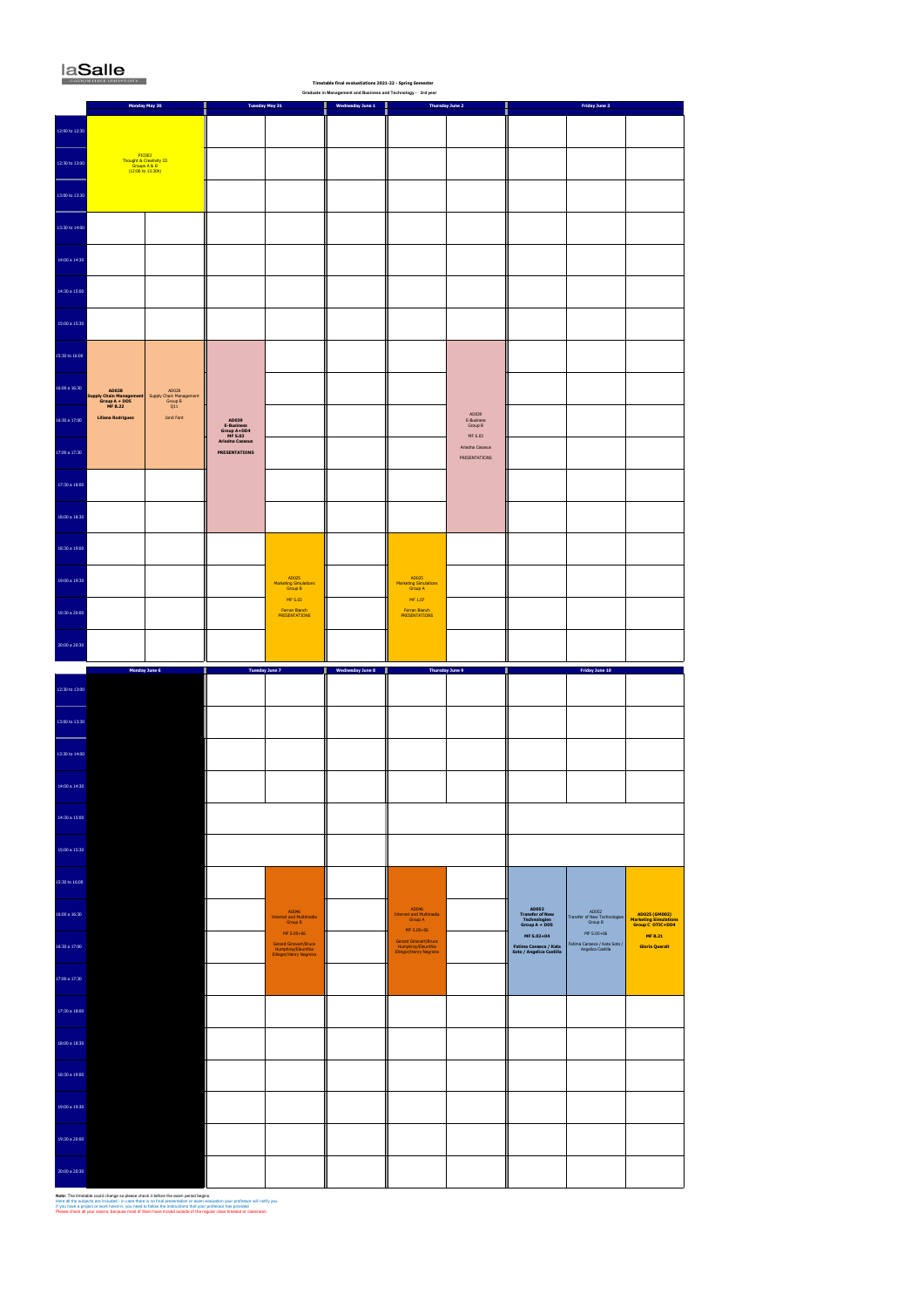17:00 a 17:30

**Note: The timetable could change so please check it before the exam period begins.**<br>Here all the subjects are included - in case there is no final presentation or exam evaluation your professor will notify you.<br>If you hav

| 17:30 a 18:00 |  |  |  |  |  |
|---------------|--|--|--|--|--|
| 18:00 a 18:30 |  |  |  |  |  |
| 18:30 a 19:00 |  |  |  |  |  |
| 19:00 a 19:30 |  |  |  |  |  |
| 19:30 a 20:00 |  |  |  |  |  |
| 20:00 a 20:30 |  |  |  |  |  |

# laSalle

|                                | KAMON LIDIT UNIVERSITY<br>Timetable final evaluatiations 2021-22 - Spring Semester<br>Graduate in Management and Business and Technology - 3rd year |                                                                         |                                                                                       |                                                                           |                         |                                                                               |                                                                     |                                                                                         |                                                                |                                                                                     |  |  |  |
|--------------------------------|-----------------------------------------------------------------------------------------------------------------------------------------------------|-------------------------------------------------------------------------|---------------------------------------------------------------------------------------|---------------------------------------------------------------------------|-------------------------|-------------------------------------------------------------------------------|---------------------------------------------------------------------|-----------------------------------------------------------------------------------------|----------------------------------------------------------------|-------------------------------------------------------------------------------------|--|--|--|
|                                |                                                                                                                                                     | Monday May 30                                                           |                                                                                       | <b>Tuesday May 31</b>                                                     | <b>Wednesday June 1</b> |                                                                               | <b>Thursday June 2</b>                                              |                                                                                         | Friday June 3                                                  |                                                                                     |  |  |  |
| 12:00 to 12:30                 |                                                                                                                                                     |                                                                         |                                                                                       |                                                                           |                         |                                                                               |                                                                     |                                                                                         |                                                                |                                                                                     |  |  |  |
| 12:30 to 13:00                 |                                                                                                                                                     | PIC003<br>Thought & Creativity III<br>Groups A & B<br>(12:00 to 13:30h) |                                                                                       |                                                                           |                         |                                                                               |                                                                     |                                                                                         |                                                                |                                                                                     |  |  |  |
| 13:00 to 13:30                 |                                                                                                                                                     |                                                                         |                                                                                       |                                                                           |                         |                                                                               |                                                                     |                                                                                         |                                                                |                                                                                     |  |  |  |
| 13:30 to 14:00                 |                                                                                                                                                     |                                                                         |                                                                                       |                                                                           |                         |                                                                               |                                                                     |                                                                                         |                                                                |                                                                                     |  |  |  |
| 14:00 a 14:30                  |                                                                                                                                                     |                                                                         |                                                                                       |                                                                           |                         |                                                                               |                                                                     |                                                                                         |                                                                |                                                                                     |  |  |  |
| 14:30 a 15:00                  |                                                                                                                                                     |                                                                         |                                                                                       |                                                                           |                         |                                                                               |                                                                     |                                                                                         |                                                                |                                                                                     |  |  |  |
| 15:00 a 15:30                  |                                                                                                                                                     |                                                                         |                                                                                       |                                                                           |                         |                                                                               |                                                                     |                                                                                         |                                                                |                                                                                     |  |  |  |
| 15:30 to 16:00                 |                                                                                                                                                     |                                                                         |                                                                                       |                                                                           |                         |                                                                               |                                                                     |                                                                                         |                                                                |                                                                                     |  |  |  |
| 16:00 a 16:30                  | AD028<br><b>Supply Chain Management</b><br>$Group A + DD5$<br><b>MF B.22</b>                                                                        | AD028<br>Supply Chain Management<br>Group B<br>Q11                      |                                                                                       |                                                                           |                         |                                                                               |                                                                     |                                                                                         |                                                                |                                                                                     |  |  |  |
| 16:30 a 17:00                  | <b>Liliana Rodriguez</b>                                                                                                                            | Jordi Font                                                              | AD039<br><b>E-Business</b><br>Group A+DD4<br><b>MF S.03</b><br><b>Ariadna Casasus</b> |                                                                           |                         |                                                                               | AD039<br>E-Business<br>Group B<br><b>MF S.03</b><br>Ariadna Casasus |                                                                                         |                                                                |                                                                                     |  |  |  |
| 17:00 a 17:30                  |                                                                                                                                                     |                                                                         | <b>PRESENTATIONS</b>                                                                  |                                                                           |                         |                                                                               | PRESENTATIONS                                                       |                                                                                         |                                                                |                                                                                     |  |  |  |
| 17:30 a 18:00<br>18:00 a 18:30 |                                                                                                                                                     |                                                                         |                                                                                       |                                                                           |                         |                                                                               |                                                                     |                                                                                         |                                                                |                                                                                     |  |  |  |
| 18:30 a 19:00                  |                                                                                                                                                     |                                                                         |                                                                                       |                                                                           |                         |                                                                               |                                                                     |                                                                                         |                                                                |                                                                                     |  |  |  |
| 19:00 a 19:30                  |                                                                                                                                                     |                                                                         |                                                                                       | AD025<br><b>Marketing Simulations</b>                                     |                         | AD025<br><b>Marketing Simulations</b>                                         |                                                                     |                                                                                         |                                                                |                                                                                     |  |  |  |
| 19:30 a 20:00                  |                                                                                                                                                     |                                                                         |                                                                                       | <b>Group B</b><br><b>MF S.03</b><br>Ferran Blanch<br><b>PRESENTATIONS</b> |                         | <b>Group A</b><br>MF 1.07<br>Ferran Blanch<br><b>PRESENTATIONS</b>            |                                                                     |                                                                                         |                                                                |                                                                                     |  |  |  |
| 20:00 a 20:30                  |                                                                                                                                                     |                                                                         |                                                                                       |                                                                           |                         |                                                                               |                                                                     |                                                                                         |                                                                |                                                                                     |  |  |  |
|                                |                                                                                                                                                     |                                                                         |                                                                                       |                                                                           |                         |                                                                               |                                                                     |                                                                                         |                                                                |                                                                                     |  |  |  |
| 12:30 to 13:00                 |                                                                                                                                                     | Monday June 6                                                           |                                                                                       | <b>Tuesday June 7</b>                                                     | <b>Wednesday June 8</b> |                                                                               | <b>Thursday June 9</b>                                              |                                                                                         | Friday June 10                                                 |                                                                                     |  |  |  |
| 13:00 to 13:30                 |                                                                                                                                                     |                                                                         |                                                                                       |                                                                           |                         |                                                                               |                                                                     |                                                                                         |                                                                |                                                                                     |  |  |  |
| 13:30 to 14:00                 |                                                                                                                                                     |                                                                         |                                                                                       |                                                                           |                         |                                                                               |                                                                     |                                                                                         |                                                                |                                                                                     |  |  |  |
| 14:00 a 14:30                  |                                                                                                                                                     |                                                                         |                                                                                       |                                                                           |                         |                                                                               |                                                                     |                                                                                         |                                                                |                                                                                     |  |  |  |
| 14:30 a 15:00                  |                                                                                                                                                     |                                                                         |                                                                                       |                                                                           |                         |                                                                               |                                                                     |                                                                                         |                                                                |                                                                                     |  |  |  |
| 15:00 a 15:30                  |                                                                                                                                                     |                                                                         |                                                                                       |                                                                           |                         |                                                                               |                                                                     |                                                                                         |                                                                |                                                                                     |  |  |  |
| 15:30 to 16:00                 |                                                                                                                                                     |                                                                         |                                                                                       |                                                                           |                         |                                                                               |                                                                     |                                                                                         |                                                                |                                                                                     |  |  |  |
| 16:00 a 16:30                  |                                                                                                                                                     |                                                                         |                                                                                       | AD046<br><b>Internet and Multimedia</b><br>Group B<br>MF S.05+06          |                         | AD046<br><b>Internet and Multimedia</b><br>Group A<br>MF S.05+06              |                                                                     | AD052<br><b>Transfer of New</b><br><b>Technologies</b><br>Group $A + DDS$<br>MF S.03+04 | AD052<br>Transfer of New Technologies<br>Group B<br>MF S.05+06 | AD025 (GM002)<br><b>Marketing Simulations</b><br>Group C OTIC+DD4<br><b>MF B.21</b> |  |  |  |
| 16:30 a 17:00                  |                                                                                                                                                     |                                                                         |                                                                                       | Gerard Ginovart/Bruce<br>Humphrey/Eleunthia<br>Ellinger/Henry Negreira    |                         | Gerard Ginovart/Bruce<br>Humphrey/Eleunthia<br><b>Ellinger/Henry Negreira</b> |                                                                     | Fatima Canseca / Kata<br>Soto / Angelica Castilla                                       | Fatima Canseca / Kata Soto /<br>Angelica Castilla              | <b>Gloria Queralt</b>                                                               |  |  |  |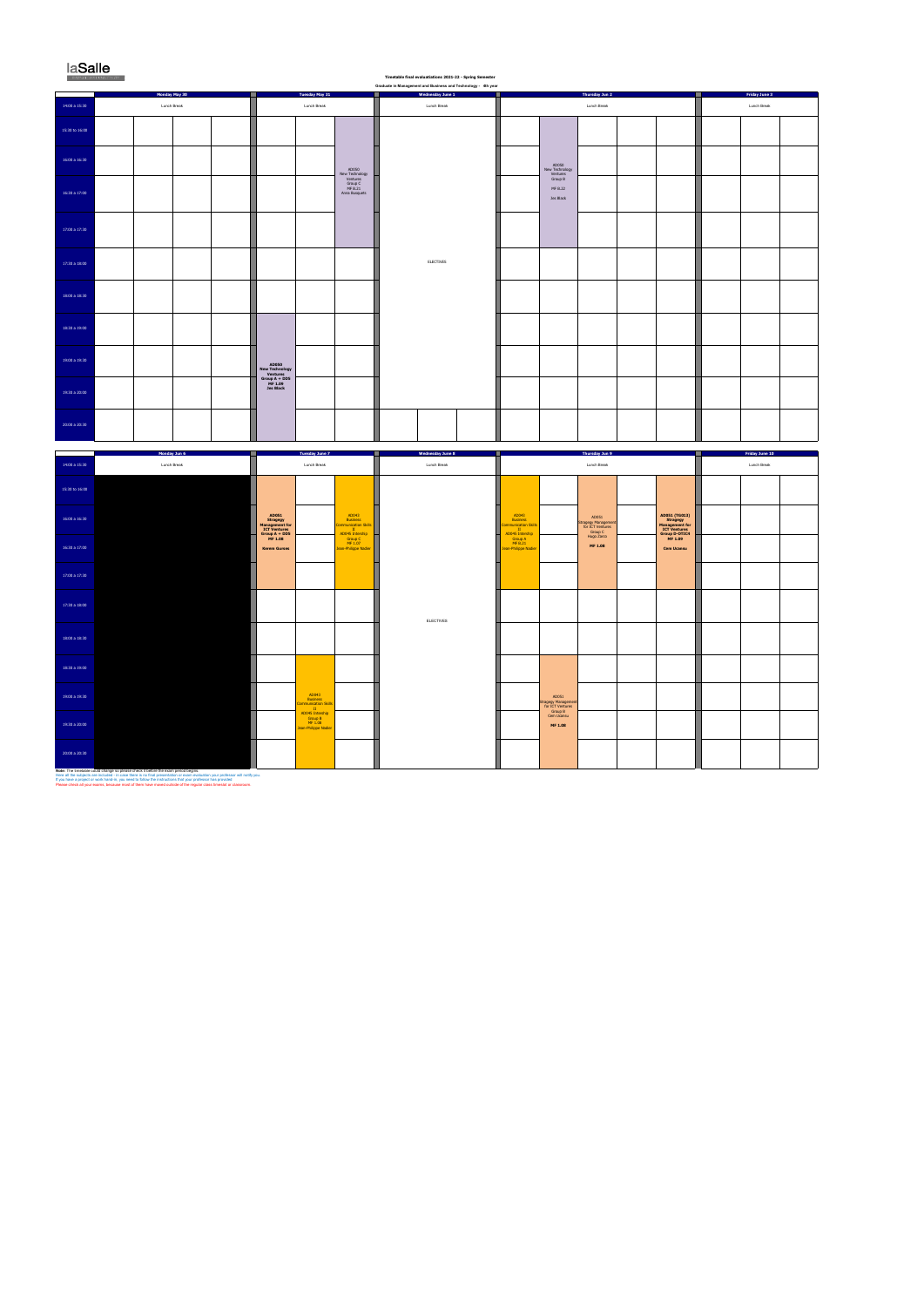#### laSalle ×

œ,

## **Timetable final evaluatiations 2021-22 - Spring Semester Graduate in Management and Business and Technology - 4th year**

|                    | Monday May 30 | Tuesday May 31                                                    | $\cdot$<br>. .<br>Wednesday June 1<br>ı | Thursday Jun 2<br>ш                 | <b>Friday June 3</b> |  |  |
|--------------------|---------------|-------------------------------------------------------------------|-----------------------------------------|-------------------------------------|----------------------|--|--|
| 14:00 a 15:30      | Lunch Break   | Lunch Break                                                       | Lunch Break                             | Lunch Break                         | Lunch Break          |  |  |
| $15:30$ to $16:00$ |               |                                                                   |                                         |                                     |                      |  |  |
| 16:00 a 16:30      |               | AD050                                                             |                                         | AD050<br>New Technology<br>Ventures |                      |  |  |
| 16:30 a 17:00      |               | New Technology<br>Ventures<br>Group C<br>MF B.21<br>Anna Busquets |                                         | Group B<br>MF B.22<br>Jes Black     |                      |  |  |
| 17:00 a 17:30      |               |                                                                   |                                         |                                     |                      |  |  |
| 17:30 a 18:00      |               |                                                                   | ELECTIVES                               |                                     |                      |  |  |
| 18:00 a 18:30      |               |                                                                   |                                         |                                     |                      |  |  |
| 18:30 a 19:00      |               |                                                                   |                                         |                                     |                      |  |  |
| 19:00 a 19:30      |               | AD050<br>New Technology<br>Ventures                               |                                         |                                     |                      |  |  |
| 19:30 a 20:00      |               | $Group A + DD5MF 1.09$<br><b>Jes Black</b>                        |                                         |                                     |                      |  |  |
| 20:00 a 20:30      |               |                                                                   |                                         |                                     |                      |  |  |

|                                           | Monday Jun 6 | <b>Tuesday June 7</b>                                                |                                                                            | <b>Wednesday June 8</b> |                                                                                                   | <b>Thursday Jun 9</b>                                       |                                                                                         | <b>Friday June 10</b> |  |  |
|-------------------------------------------|--------------|----------------------------------------------------------------------|----------------------------------------------------------------------------|-------------------------|---------------------------------------------------------------------------------------------------|-------------------------------------------------------------|-----------------------------------------------------------------------------------------|-----------------------|--|--|
| 14:00 a 15:30                             | Lunch Break  | Lunch Break                                                          |                                                                            | Lunch Break             |                                                                                                   | Lunch Break                                                 | Lunch Break                                                                             |                       |  |  |
| 15:30 to 16:00                            |              |                                                                      |                                                                            |                         |                                                                                                   |                                                             |                                                                                         |                       |  |  |
| 16:00 a 16:30                             |              | AD051<br>Stragegy<br>Management for<br>ICT Ventures<br>Group A + DD5 | AD043<br><b>Business</b><br><b>Communication Skills</b><br>AD045 Intership |                         | AD043<br><b>Business</b><br><b>Communication Skills</b><br>$\mathbf{H}$ .<br>ш<br>AD045 Intership | AD051<br>Stragegy Management<br>for ICT Ventures<br>Group C | AD051 (TG013)<br>Stragegy<br>Management for<br>ICT Ventures<br>Group D-OTIC4<br>MF 1.09 |                       |  |  |
| 16:30 a 17:00                             |              | MF 1.08<br><b>Kerem Gurses</b>                                       | Group C<br>MF 1.07<br>Jean-Philippe Nadier                                 |                         | Group A<br>MF B.21<br>Jean-Philippe Nadier                                                        | Hugo Zarco<br>MF 1.08                                       | <b>Cem Ucansu</b>                                                                       |                       |  |  |
| 17:00 a 17:30                             |              |                                                                      |                                                                            |                         |                                                                                                   |                                                             |                                                                                         |                       |  |  |
| 17:30 a 18:00                             |              |                                                                      |                                                                            | ELECTIVES               |                                                                                                   |                                                             |                                                                                         |                       |  |  |
| 18:00 a 18:30                             |              |                                                                      |                                                                            |                         |                                                                                                   |                                                             |                                                                                         |                       |  |  |
| 18:30 a 19:00                             |              |                                                                      |                                                                            |                         |                                                                                                   |                                                             |                                                                                         |                       |  |  |
| 19:00 a 19:30                             |              | AD043<br><b>Business</b><br>Communication Skill:<br>$\;$ II $\;$     |                                                                            |                         | AD051<br><b>Stragegy Management</b><br>for ICT Ventures<br>Group B                                |                                                             |                                                                                         |                       |  |  |
| 19:30 a 20:00                             |              | AD045 Intership<br>Group B<br>MF 1.08<br>Jean-Philippe Nadier        |                                                                            |                         | Cem Ucansu<br>MF 1.08                                                                             |                                                             |                                                                                         |                       |  |  |
| 20:00 a 20:30<br>Moto: The timetable cour |              |                                                                      |                                                                            |                         |                                                                                                   |                                                             |                                                                                         |                       |  |  |

**Note:** The timetable could change so please check it before the exam period begins.<br>Here all the subjects are included - in case there is no final presentation or exam evaluation your professor will notify you.<br>If you hav